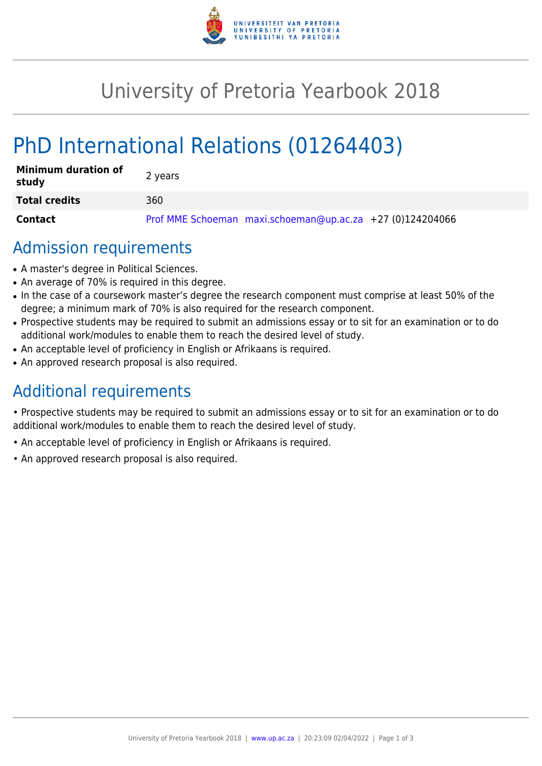

# University of Pretoria Yearbook 2018

# PhD International Relations (01264403)

| <b>Minimum duration of</b><br>study | 2 years                                                   |
|-------------------------------------|-----------------------------------------------------------|
| <b>Total credits</b>                | 360                                                       |
| <b>Contact</b>                      | Prof MME Schoeman maxi.schoeman@up.ac.za +27 (0)124204066 |

### Admission requirements

- A master's degree in Political Sciences.
- An average of 70% is required in this degree.
- In the case of a coursework master's degree the research component must comprise at least 50% of the degree; a minimum mark of 70% is also required for the research component.
- Prospective students may be required to submit an admissions essay or to sit for an examination or to do additional work/modules to enable them to reach the desired level of study.
- An acceptable level of proficiency in English or Afrikaans is required.
- An approved research proposal is also required.

## Additional requirements

• Prospective students may be required to submit an admissions essay or to sit for an examination or to do additional work/modules to enable them to reach the desired level of study.

- An acceptable level of proficiency in English or Afrikaans is required.
- An approved research proposal is also required.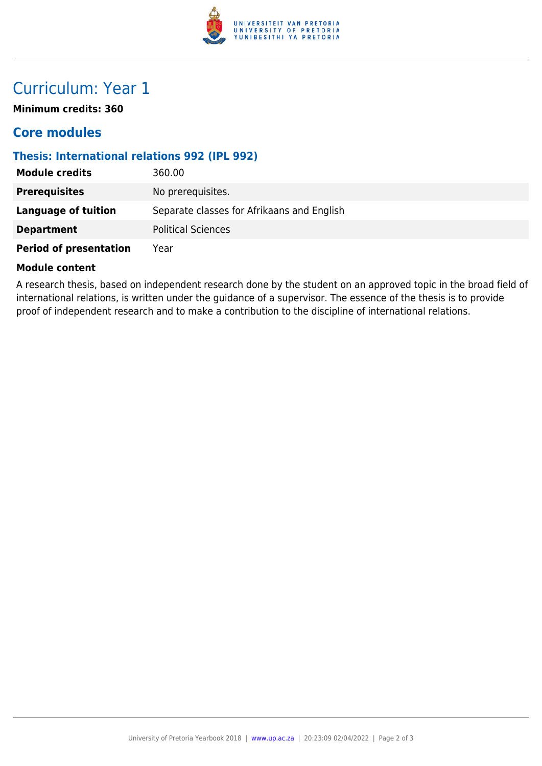

## Curriculum: Year 1

**Minimum credits: 360**

### **Core modules**

#### **Thesis: International relations 992 (IPL 992)**

| <b>Module credits</b>         | 360.00                                     |
|-------------------------------|--------------------------------------------|
| <b>Prerequisites</b>          | No prerequisites.                          |
| Language of tuition           | Separate classes for Afrikaans and English |
| <b>Department</b>             | <b>Political Sciences</b>                  |
| <b>Period of presentation</b> | Year                                       |

#### **Module content**

A research thesis, based on independent research done by the student on an approved topic in the broad field of international relations, is written under the guidance of a supervisor. The essence of the thesis is to provide proof of independent research and to make a contribution to the discipline of international relations.